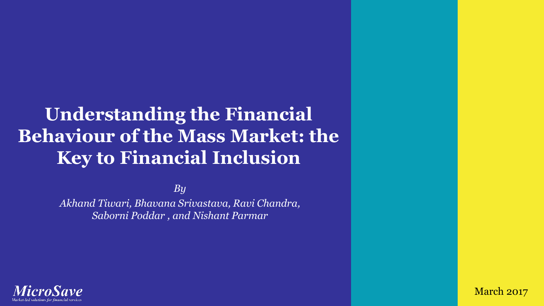# **Understanding the Financial Behaviour of the Mass Market: the Key to Financial Inclusion**

*By* 

*Akhand Tiwari, Bhavana Srivastava, Ravi Chandra, Saborni Poddar , and Nishant Parmar*



March 2017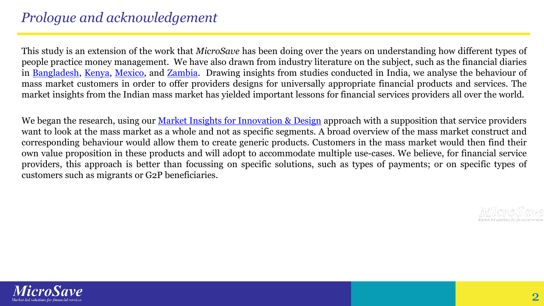### *Prologue and acknowledgement*

This study is an extension of the work that *MicroSave* has been doing over the years on understanding how different types of people practice money management. We have also drawn from industry literature on the subject, such as the financial diaries in [Bangladesh,](http://www.cgap.org/blog/daily-diaries-reveal-bangladesh%E2%80%99s-shifting-financial-landscape) [Kenya](http://fsdkenya.org/financial-diaries/), [Mexico](https://cfi-blog.org/2016/06/09/three-behavioral-implications-of-how-mexico-diaries-households-pay-for-healthcare/#more-21437), and [Zambia](https://www.microfinanceopportunities.org/wp-content/uploads/2016/02/Zambia-Financial-Diaries-Interim-Report-Feb_2016.pdf). Drawing insights from studies conducted in India, we analyse the behaviour of mass market customers in order to offer providers designs for universally appropriate financial products and services. The market insights from the Indian mass market has yielded important lessons for financial services providers all over the world.

We began the research, using our Market Insights for [Innovation](http://www.microsave.net/pages/home/market_insights_for_innovations_and_design_mi4id) & Design approach with a supposition that service providers want to look at the mass market as a whole and not as specific segments. A broad overview of the mass market construct and corresponding behaviour would allow them to create generic products. Customers in the mass market would then find their own value proposition in these products and will adopt to accommodate multiple use-cases. We believe, for financial service providers, this approach is better than focussing on specific solutions, such as types of payments; or on specific types of customers such as migrants or G2P beneficiaries.

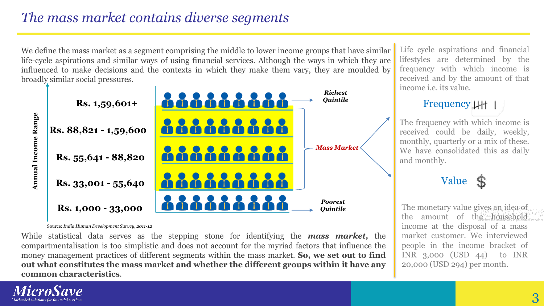### *The mass market contains diverse segments*

We define the mass market as a segment comprising the middle to lower income groups that have similar life-cycle aspirations and similar ways of using financial services. Although the ways in which they are influenced to make decisions and the contexts in which they make them vary, they are moulded by broadly similar social pressures.



Source: *India Human Development Survey, 2011-12*

While statistical data serves as the stepping stone for identifying the *mass market,* the compartmentalisation is too simplistic and does not account for the myriad factors that influence the money management practices of different segments within the mass market. **So, we set out to find out what constitutes the mass market and whether the different groups within it have any common characteristics**.

Life cycle aspirations and financial lifestyles are determined by the frequency with which income is received and by the amount of that income i.e. its value.

### Frequency  $\downarrow \downarrow \uparrow \vert$

The frequency with which income is received could be daily, weekly, monthly, quarterly or a mix of these. We have consolidated this as daily and monthly.

### Value

The monetary value gives an idea of the amount of the household income at the disposal of a mass market customer. We interviewed people in the income bracket of INR 3,000 (USD 44) to INR 20,000 (USD 294) per month.

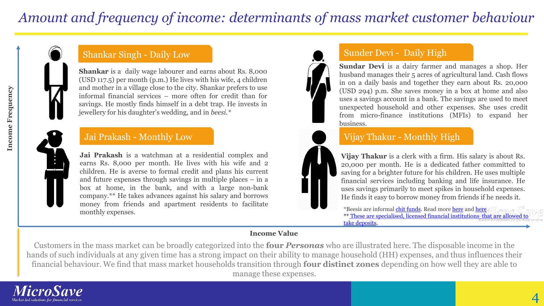### *Amount and frequency of income: determinants of mass market customer behaviour*

#### Shankar Singh - Daily Low

**Shankar** is a daily wage labourer and earns about Rs. 8,000 (USD 117.5) per month (p.m.) He lives with his wife, 4 children and mother in a village close to the city. Shankar prefers to use informal financial services – more often for credit than for savings. He mostly finds himself in a debt trap. He invests in jewellery for his daughter's wedding, and in *beesi.\**

#### Jai Prakash - Monthly Low

**Jai Prakash** is a watchman at a residential complex and earns Rs. 8,000 per month. He lives with his wife and 2 children. He is averse to formal credit and plans his current and future expenses through savings in multiple places – in a box at home, in the bank, and with a large non-bank company.\*\* He takes advances against his salary and borrows money from friends and apartment residents to facilitate monthly expenses.

#### Sunder Devi - Daily High

**Sundar Devi** is a dairy farmer and manages a shop. Her husband manages their 5 acres of agricultural land. Cash flows in on a daily basis and together they earn about Rs. 20,000 (USD 294) p.m. She saves money in a box at home and also uses a savings account in a bank. The savings are used to meet unexpected household and other expenses. She uses credit from micro-finance institutions (MFIs) to expand her business.

#### Vijay Thakur - Monthly High

**Vijay Thakur** is a clerk with a firm. His salary is about Rs. 20,000 per month. He is a dedicated father committed to saving for a brighter future for his children. He uses multiple financial services including banking and life insurance. He uses savings primarily to meet spikes in household expenses. He finds it easy to borrow money from friends if he needs it.

\*Beesis are informal [chit funds](https://en.wikipedia.org/wiki/Chit_fund). Read more [here](http://microsave.net/files/pdf/IFN_84_When_You_Cannot_Save_Up_Saving_Down_and_Saving_Through.pdf) and [here](https://en.wikipedia.org/wiki/Rotating_savings_and_credit_association) \*\* [These are specialised, licensed financial institutions that are allowed to](https://www.rbi.org.in/Scripts/FAQView.aspx?Id=92)  take deposits.

#### **Income Value**

Customers in the mass market can be broadly categorized into the **four** *Personas* who are illustrated here. The disposable income in the hands of such individuals at any given time has a strong impact on their ability to manage household (HH) expenses, and thus influences their financial behaviour. We find that mass market households transition through **four distinct zones** depending on how well they are able to manage these expenses.

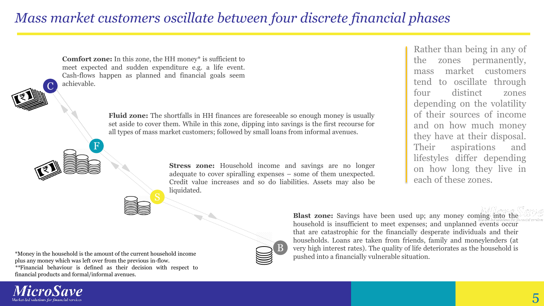### *Mass market customers oscillate between four discrete financial phases*



**Fluid zone:** The shortfalls in HH finances are foreseeable so enough money is usually set aside to cover them. While in this zone, dipping into savings is the first recourse for all types of mass market customers; followed by small loans from informal avenues.

> **Stress zone:** Household income and savings are no longer adequate to cover spiralling expenses – some of them unexpected. Credit value increases and so do liabilities. Assets may also be liquidated.

Rather than being in any of the zones permanently, mass market customers tend to oscillate through four distinct zones depending on the volatility of their sources of income and on how much money they have at their disposal. Their aspirations and lifestyles differ depending on how long they live in each of these zones.



**Blast zone:** Savings have been used up; any money coming into the household is insufficient to meet expenses; and unplanned events occur that are catastrophic for the financially desperate individuals and their households. Loans are taken from friends, family and moneylenders (at very high interest rates). The quality of life deteriorates as the household is pushed into a financially vulnerable situation.

\*Money in the household is the amount of the current household income plus any money which was left over from the previous in-flow. *\*\**Financial behaviour is defined as their decision with respect to financial products and formal/informal avenues.

F

**Comfort zone:** In this zone, the HH money\* is sufficient to meet expected and sudden expenditure e.g. a life event.

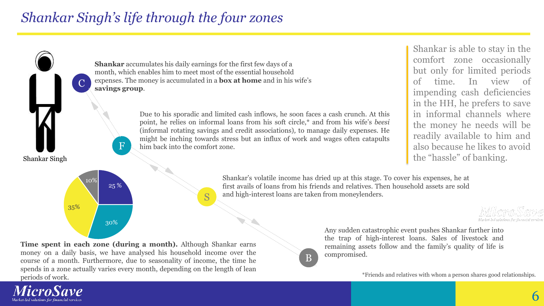### *Shankar Singh's life through the four zones*



**Time spent in each zone (during a month).** Although Shankar earns money on a daily basis, we have analysed his household income over the course of a month. Furthermore, due to seasonality of income, the time he spends in a zone actually varies every month, depending on the length of lean periods of work.



Any sudden catastrophic event pushes Shankar further into the trap of high-interest loans. Sales of livestock and remaining assets follow and the family's quality of life is compromised.

\*Friends and relatives with whom a person shares good relationships.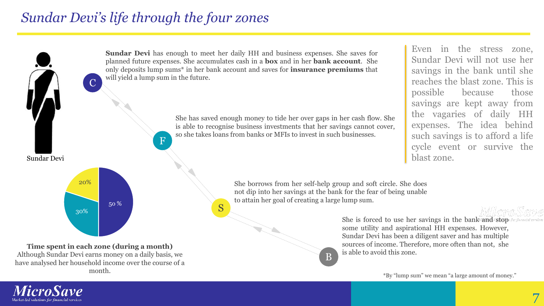### *Sundar Devi's life through the four zones*



B

is able to avoid this zone.

Although Sundar Devi earns money on a daily basis, we have analysed her household income over the course of a month.

\*By "lump sum" we mean "a large amount of money."

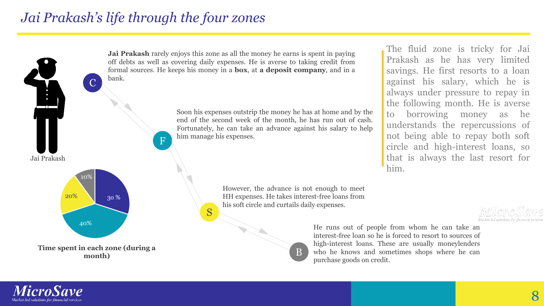### *Jai Prakash's life through the four zones*



**Jai Prakash** rarely enjoys this zone as all the money he earns is spent in paying off debts as well as covering daily expenses. He is averse to taking credit from formal sources. He keeps his money in a **box**, at **a deposit company**, and in a

> Soon his expenses outstrip the money he has at home and by the end of the second week of the month, he has run out of cash. Fortunately, he can take an advance against his salary to help

> > However, the advance is not enough to meet HH expenses. He takes interest-free loans from his soft circle and curtails daily expenses.

> > > B

always under pressure to repay in the following month. He is averse to borrowing money as he understands the repercussions of not being able to repay both soft circle and high-interest loans, so that is always the last resort for him.

The fluid zone is tricky for Jai Prakash as he has very limited savings. He first resorts to a loan against his salary, which he is

He runs out of people from whom he can take an interest-free loan so he is forced to resort to sources of high-interest loans. These are usually moneylenders who he knows and sometimes shops where he can purchase goods on credit.

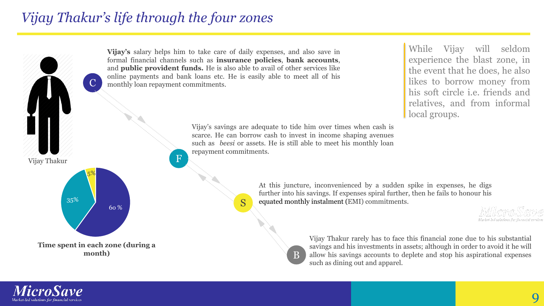### *Vijay Thakur's life through the four zones*



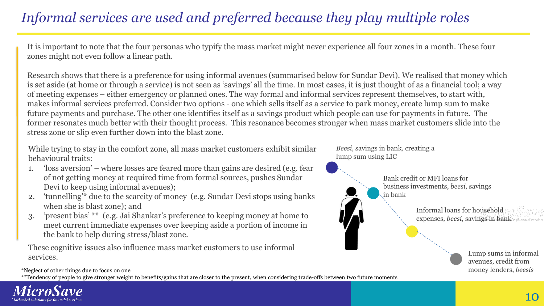## *Informal services are used and preferred because they play multiple roles*

It is important to note that the four personas who typify the mass market might never experience all four zones in a month. These four zones might not even follow a linear path.

Research shows that there is a preference for using informal avenues (summarised below for Sundar Devi). We realised that money which is set aside (at home or through a service) is not seen as 'savings' all the time. In most cases, it is just thought of as a financial tool; a way of meeting expenses – either emergency or planned ones. The way formal and informal services represent themselves, to start with, makes informal services preferred. Consider two options - one which sells itself as a service to park money, create lump sum to make future payments and purchase. The other one identifies itself as a savings product which people can use for payments in future. The former resonates much better with their thought process. This resonance becomes stronger when mass market customers slide into the stress zone or slip even further down into the blast zone.

While trying to stay in the comfort zone, all mass market customers exhibit similar behavioural traits:

- 1. 'loss aversion' where losses are feared more than gains are desired (e.g. fear of not getting money at required time from formal sources, pushes Sundar Devi to keep using informal avenues);
- 2. 'tunnelling'\* due to the scarcity of money (e.g. Sundar Devi stops using banks when she is blast zone); and
- 3. 'present bias' \*\* (e.g. Jai Shankar's preference to keeping money at home to meet current immediate expenses over keeping aside a portion of income in the bank to help during stress/blast zone.

These cognitive issues also influence mass market customers to use informal services.

*Beesi,* savings in bank*,* creating a lump sum using LIC



Bank credit or MFI loans for business investments, *beesi,* savings in bank

> Informal loans for household expenses, *beesi,* savings in bank

> > Lump sums in informal avenues, credit from

\*Neglect of other things due to focus on one money lenders, *beesis* 

\*\*Tendency of people to give stronger weight to benefits/gains that are closer to the present, when considering trade-offs between two future moments

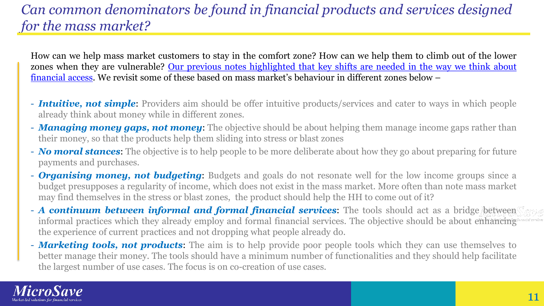### *Can common denominators be found in financial products and services designed for the mass market?*

How can we help mass market customers to stay in the comfort zone? How can we help them to climb out of the lower zones when they are [vulnerable?](http://blog.microsave.net/making-digital-financial-services-relevant-part-3/) Our previous notes highlighted that key shifts are needed in the way we think about financial access. We revisit some of these based on mass market's behaviour in different zones below –

- *Intuitive, not simple*: Providers aim should be offer intuitive products/services and cater to ways in which people already think about money while in different zones.
- *Managing money gaps, not money*: The objective should be about helping them manage income gaps rather than their money, so that the products help them sliding into stress or blast zones
- *No moral stances*: The objective is to help people to be more deliberate about how they go about preparing for future payments and purchases.
- *Organising money, not budgeting*: Budgets and goals do not resonate well for the low income groups since a budget presupposes a regularity of income, which does not exist in the mass market. More often than note mass market may find themselves in the stress or blast zones, the product should help the HH to come out of it?
- *A continuum between informal and formal financial services*: The tools should act as a bridge between informal practices which they already employ and formal financial services. The objective should be about enhancing the experience of current practices and not dropping what people already do.
- *Marketing tools, not products*: The aim is to help provide poor people tools which they can use themselves to better manage their money. The tools should have a minimum number of functionalities and they should help facilitate the largest number of use cases. The focus is on co-creation of use cases.